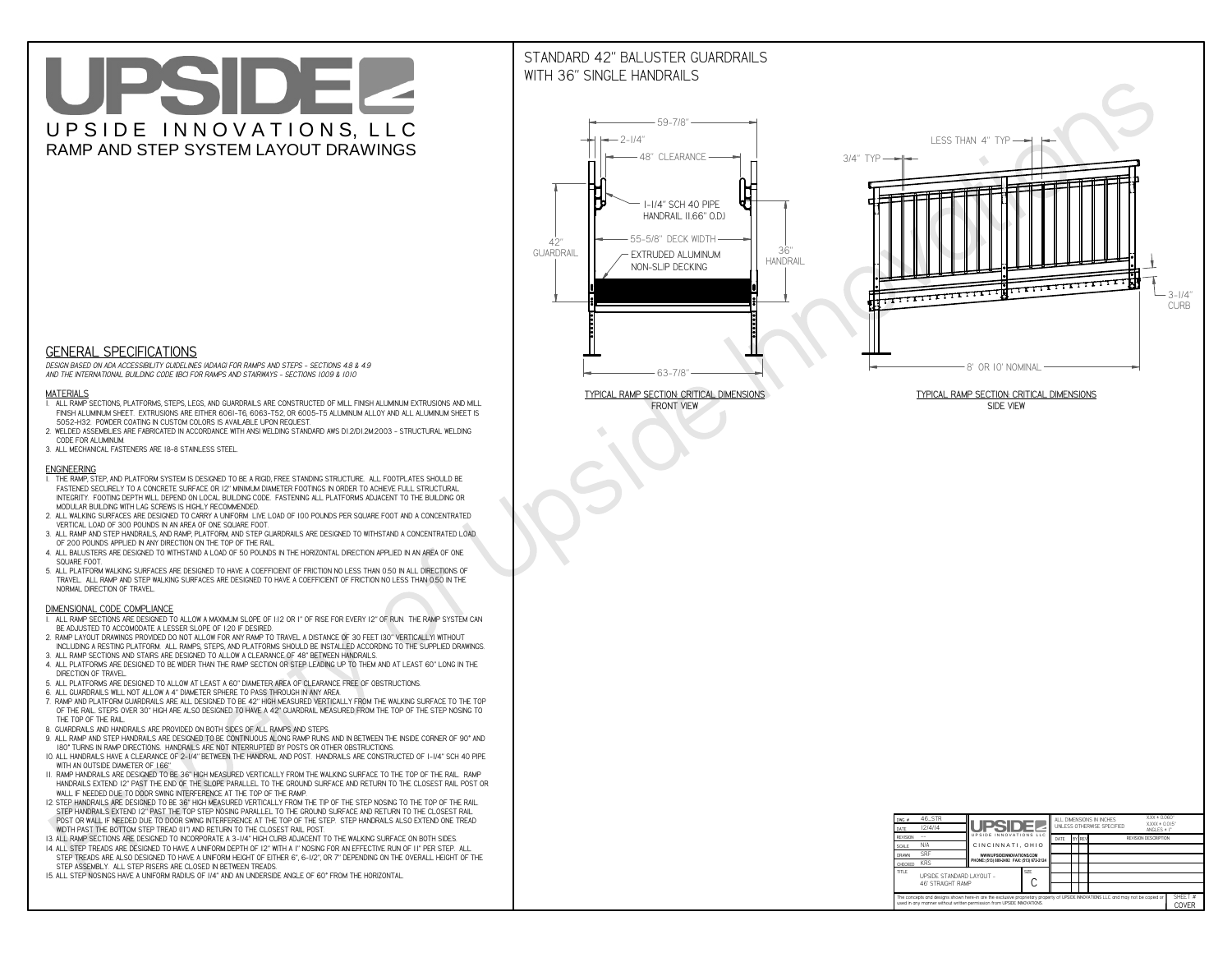# UPSIDEL UPSIDE INNOVATIONS, LLC RAMP AND STEP SYSTEM LAYOUT DRAWINGS

## STANDARD 42" BALUSTER GUARDRAILSWITH 36" SINGLE HANDRAILS

**FRONT VIEW**





**GENERAL SPECIFICATIONS**

 *DESIGN BASED ON ADA ACCESSIBILITY GUIDELINES (ADAAG) FOR RAMPS AND STEPS - SECTIONS 4.8 & 4.9AND THE INTERNATIONAL BUILDING CODE (IBC) FOR RAMPS AND STAIRWAYS - SECTIONS 1009 & 1010*

#### **MATERIALS**

- **1. ALL RAMP SECTIONS, PLATFORMS, STEPS, LEGS, AND GUARDRAILS ARE CONSTRUCTED OF MILL FINISH ALUMINUM EXTRUSIONS AND MILL FINISH ALUMINUM SHEET. EXTRUSIONS ARE EITHER 6061-T6, 6063-T52, OR 6005-T5 ALUMINUM ALLOY AND ALL ALUMINUM SHEET IS 5052-H32. POWDER COATING IN CUSTOM COLORS IS AVAILABLE UPON REQUEST.**
- **2. WELDED ASSEMBLIES ARE FABRICATED IN ACCORDANCE WITH ANSI WELDING STANDARD AWS D1.2/D1.2M:2003 STRUCTURAL WELDING CODE FOR ALUMINUM.**
- **3. ALL MECHANICAL FASTENERS ARE 18-8 STAINLESS STEEL.**

#### **ENGINEERING**

- **1. THE RAMP, STEP, AND PLATFORM SYSTEM IS DESIGNED TO BE A RIGID, FREE STANDING STRUCTURE. ALL FOOTPLATES SHOULD BE FASTENED SECURELY TO A CONCRETE SURFACE OR 12" MINIMUM DIAMETER FOOTINGS IN ORDER TO ACHIEVE FULL STRUCTURAL INTEGRITY. FOOTING DEPTH WILL DEPEND ON LOCAL BUILDING CODE. FASTENING ALL PLATFORMS ADJACENT TO THE BUILDING OR MODULAR BUILDING WITH LAG SCREWS IS HIGHLY RECOMMENDED.**
- **2. ALL WALKING SURFACES ARE DESIGNED TO CARRY A UNIFORM LIVE LOAD OF 100 POUNDS PER SQUARE FOOT AND A CONCENTRATED VERTICAL LOAD OF 300 POUNDS IN AN AREA OF ONE SQUARE FOOT.**
- **3. ALL RAMP AND STEP HANDRAILS, AND RAMP, PLATFORM, AND STEP GUARDRAILS ARE DESIGNED TO WITHSTAND A CONCENTRATED LOAD OF 200 POUNDS APPLIED IN ANY DIRECTION ON THE TOP OF THE RAIL.**
- **4. ALL BALUSTERS ARE DESIGNED TO WITHSTAND A LOAD OF 50 POUNDS IN THE HORIZONTAL DIRECTION APPLIED IN AN AREA OF ONE SQUARE FOOT.**
- **5. ALL PLATFORM WALKING SURFACES ARE DESIGNED TO HAVE A COEFFICIENT OF FRICTION NO LESS THAN 0.50 IN ALL DIRECTIONS OF TRAVEL. ALL RAMP AND STEP WALKING SURFACES ARE DESIGNED TO HAVE A COEFFICIENT OF FRICTION NO LESS THAN 0.50 IN THE NORMAL DIRECTION OF TRAVEL.**

| $DWG.$ #<br>DATE                                                                                                                                                                                            | 46_STR<br>12/4/14                                    | <b>UPSIDEZ</b><br>UPSIDE INNOVATIONS LLC  |  | ALL DIMENSIONS IN INCHES<br>UNLESS OTHERWISE SPECIFIED |  |  |  | XXX ± 0.060"<br>$XXX \pm 0.015$ "<br>ANGLES $\pm$ 1° |  |
|-------------------------------------------------------------------------------------------------------------------------------------------------------------------------------------------------------------|------------------------------------------------------|-------------------------------------------|--|--------------------------------------------------------|--|--|--|------------------------------------------------------|--|
| <b>REVISION</b>                                                                                                                                                                                             |                                                      |                                           |  | BY REV<br>DATE                                         |  |  |  | <b>REVISION DESCRIPTION</b>                          |  |
| <b>SCALE</b>                                                                                                                                                                                                | N/A                                                  | CINCINNATI, OHIO                          |  |                                                        |  |  |  |                                                      |  |
| <b>DRAWN</b>                                                                                                                                                                                                | <b>SRF</b>                                           | WWW.UPSIDEINNOVATIONS.COM                 |  |                                                        |  |  |  |                                                      |  |
| CHECKED                                                                                                                                                                                                     | <b>KRS</b>                                           | PHONE: (513) 889-2492 FAX: (513) 672-2124 |  |                                                        |  |  |  |                                                      |  |
| <b>TITLE</b>                                                                                                                                                                                                | UPSIDE STANDARD LAYOUT -<br><b>46' STRAIGHT RAMP</b> |                                           |  |                                                        |  |  |  |                                                      |  |
| The concepts and designs shown here-in are the exclusive proprietary property of UPSIDE INNOVATIONS LLC. and may not be copied or<br>used in any manner without written permission from UPSIDE INNOVATIONS. |                                                      |                                           |  |                                                        |  |  |  | SHEET #<br><b>COVER</b>                              |  |

### **DIMENSIONAL CODE COMPLIANCE**

- **1. ALL RAMP SECTIONS ARE DESIGNED TO ALLOW A MAXIMUM SLOPE OF 1:12 OR 1" OF RISE FOR EVERY 12" OF RUN. THE RAMP SYSTEM CAN BE ADJUSTED TO ACCOMODATE A LESSER SLOPE OF 1:20 IF DESIRED.**
- **2. RAMP LAYOUT DRAWINGS PROVIDED DO NOT ALLOW FOR ANY RAMP TO TRAVEL A DISTANCE OF 30 FEET (30" VERTICALLY) WITHOUT INCLUDING A RESTING PLATFORM. ALL RAMPS, STEPS, AND PLATFORMS SHOULD BE INSTALLED ACCORDING TO THE SUPPLIED DRAWINGS.**
- **3. ALL RAMP SECTIONS AND STAIRS ARE DESIGNED TO ALLOW A CLEARANCE OF 48" BETWEEN HANDRAILS.**
- **4. ALL PLATFORMS ARE DESIGNED TO BE WIDER THAN THE RAMP SECTION OR STEP LEADING UP TO THEM AND AT LEAST 60" LONG IN THE DIRECTION OF TRAVEL.**
- **5. ALL PLATFORMS ARE DESIGNED TO ALLOW AT LEAST A 60" DIAMETER AREA OF CLEARANCE FREE OF OBSTRUCTIONS.**
- **6. ALL GUARDRAILS WILL NOT ALLOW A 4" DIAMETER SPHERE TO PASS THROUGH IN ANY AREA.**
- **7. RAMP AND PLATFORM GUARDRAILS ARE ALL DESIGNED TO BE 42" HIGH MEASURED VERTICALLY FROM THE WALKING SURFACE TO THE TOP OF THE RAIL. STEPS OVER 30" HIGH ARE ALSO DESIGNED TO HAVE A 42" GUARDRAIL MEASURED FROM THE TOP OF THE STEP NOSING TO THE TOP OF THE RAIL.**
- **8. GUARDRAILS AND HANDRAILS ARE PROVIDED ON BOTH SIDES OF ALL RAMPS AND STEPS.**
- **9. ALL RAMP AND STEP HANDRAILS ARE DESIGNED TO BE CONTINUOUS ALONG RAMP RUNS AND IN BETWEEN THE INSIDE CORNER OF 90° AND 180° TURNS IN RAMP DIRECTIONS. HANDRAILS ARE NOT INTERRUPTED BY POSTS OR OTHER OBSTRUCTIONS.**
- **10. ALL HANDRAILS HAVE A CLEARANCE OF 2-1/4" BETWEEN THE HANDRAIL AND POST. HANDRAILS ARE CONSTRUCTED OF 1-1/4" SCH 40 PIPE WITH AN OUTSIDE DIAMETER OF 1.66"**
- **11. RAMP HANDRAILS ARE DESIGNED TO BE 36" HIGH MEASURED VERTICALLY FROM THE WALKING SURFACE TO THE TOP OF THE RAIL. RAMP HANDRAILS EXTEND 12" PAST THE END OF THE SLOPE PARALLEL TO THE GROUND SURFACE AND RETURN TO THE CLOSEST RAIL POST OR WALL IF NEEDED DUE TO DOOR SWING INTERFERENCE AT THE TOP OF THE RAMP.**
- **12. STEP HANDRAILS ARE DESIGNED TO BE 36" HIGH MEASURED VERTICALLY FROM THE TIP OF THE STEP NOSING TO THE TOP OF THE RAIL. STEP HANDRAILS EXTEND 12" PAST THE TOP STEP NOSING PARALLEL TO THE GROUND SURFACE AND RETURN TO THE CLOSEST RAIL POST OR WALL IF NEEDED DUE TO DOOR SWING INTERFERENCE AT THE TOP OF THE STEP. STEP HANDRAILS ALSO EXTEND ONE TREAD**
- **WIDTH PAST THE BOTTOM STEP TREAD (11") AND RETURN TO THE CLOSEST RAIL POST.**
- **13. ALL RAMP SECTIONS ARE DESIGNED TO INCORPORATE A 3-1/4" HIGH CURB ADJACENT TO THE WALKING SURFACE ON BOTH SIDES.**
- **14. ALL STEP TREADS ARE DESIGNED TO HAVE A UNIFORM DEPTH OF 12" WITH A 1" NOSING FOR AN EFFECTIVE RUN OF 11" PER STEP. ALL STEP TREADS ARE ALSO DESIGNED TO HAVE A UNIFORM HEIGHT OF EITHER 6", 6-1/2", OR 7" DEPENDING ON THE OVERALL HEIGHT OF THE STEP ASSEMBLY. ALL STEP RISERS ARE CLOSED IN BETWEEN TREADS.**
- **15. ALL STEP NOSINGS HAVE A UNIFORM RADIUS OF 1/4" AND AN UNDERSIDE ANGLE OF 60° FROM THE HORIZONTAL.**